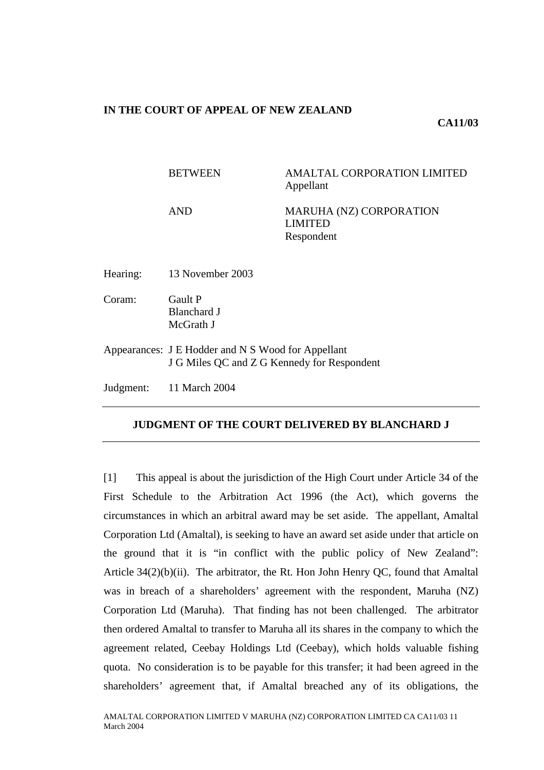# **IN THE COURT OF APPEAL OF NEW ZEALAND**

# **CA11/03**

|          | <b>BETWEEN</b>                                                                                    | <b>AMALTAL CORPORATION LIMITED</b><br>Appellant                |
|----------|---------------------------------------------------------------------------------------------------|----------------------------------------------------------------|
|          | <b>AND</b>                                                                                        | <b>MARUHA (NZ) CORPORATION</b><br><b>LIMITED</b><br>Respondent |
| Hearing: | 13 November 2003                                                                                  |                                                                |
| Coram:   | Gault P<br><b>Blanchard J</b><br>McGrath J                                                        |                                                                |
|          | Appearances: J E Hodder and N S Wood for Appellant<br>J G Miles QC and Z G Kennedy for Respondent |                                                                |
|          | Judgment: 11 March 2004                                                                           |                                                                |

# **JUDGMENT OF THE COURT DELIVERED BY BLANCHARD J**

[1] This appeal is about the jurisdiction of the High Court under Article 34 of the First Schedule to the Arbitration Act 1996 (the Act), which governs the circumstances in which an arbitral award may be set aside. The appellant, Amaltal Corporation Ltd (Amaltal), is seeking to have an award set aside under that article on the ground that it is "in conflict with the public policy of New Zealand": Article 34(2)(b)(ii). The arbitrator, the Rt. Hon John Henry QC, found that Amaltal was in breach of a shareholders' agreement with the respondent, Maruha (NZ) Corporation Ltd (Maruha). That finding has not been challenged. The arbitrator then ordered Amaltal to transfer to Maruha all its shares in the company to which the agreement related, Ceebay Holdings Ltd (Ceebay), which holds valuable fishing quota. No consideration is to be payable for this transfer; it had been agreed in the shareholders' agreement that, if Amaltal breached any of its obligations, the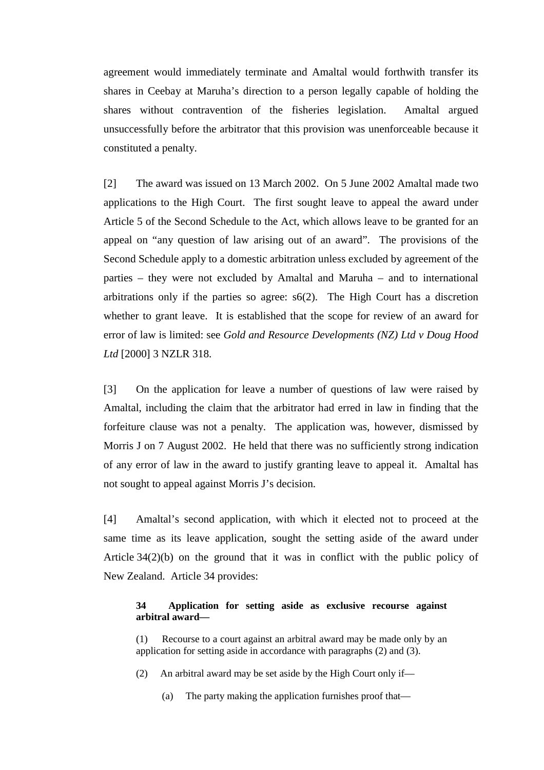agreement would immediately terminate and Amaltal would forthwith transfer its shares in Ceebay at Maruha's direction to a person legally capable of holding the shares without contravention of the fisheries legislation. Amaltal argued unsuccessfully before the arbitrator that this provision was unenforceable because it constituted a penalty.

[2] The award was issued on 13 March 2002. On 5 June 2002 Amaltal made two applications to the High Court. The first sought leave to appeal the award under Article 5 of the Second Schedule to the Act, which allows leave to be granted for an appeal on "any question of law arising out of an award". The provisions of the Second Schedule apply to a domestic arbitration unless excluded by agreement of the parties – they were not excluded by Amaltal and Maruha – and to international arbitrations only if the parties so agree: s6(2). The High Court has a discretion whether to grant leave. It is established that the scope for review of an award for error of law is limited: see *Gold and Resource Developments (NZ) Ltd v Doug Hood Ltd* [2000] 3 NZLR 318.

[3] On the application for leave a number of questions of law were raised by Amaltal, including the claim that the arbitrator had erred in law in finding that the forfeiture clause was not a penalty. The application was, however, dismissed by Morris J on 7 August 2002. He held that there was no sufficiently strong indication of any error of law in the award to justify granting leave to appeal it. Amaltal has not sought to appeal against Morris J's decision.

[4] Amaltal's second application, with which it elected not to proceed at the same time as its leave application, sought the setting aside of the award under Article 34(2)(b) on the ground that it was in conflict with the public policy of New Zealand. Article 34 provides:

## **34 Application for setting aside as exclusive recourse against arbitral award—**

(1) Recourse to a court against an arbitral award may be made only by an application for setting aside in accordance with paragraphs (2) and (3).

(2) An arbitral award may be set aside by the High Court only if—

(a) The party making the application furnishes proof that—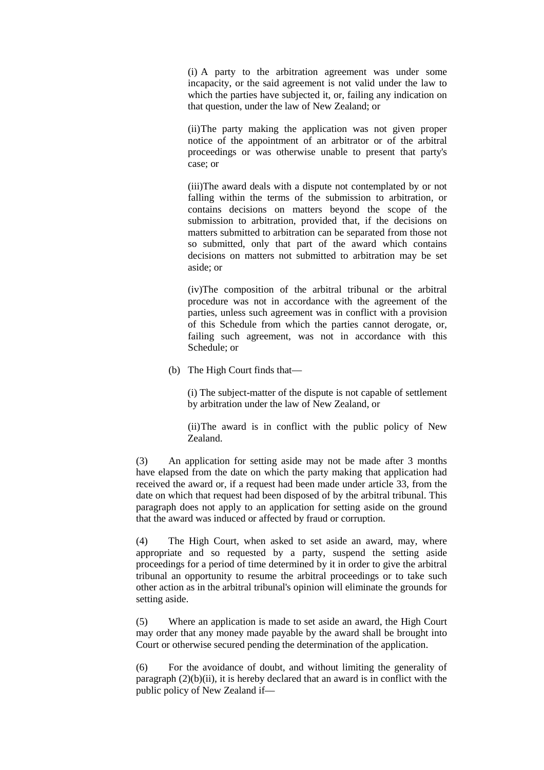(i) A party to the arbitration agreement was under some incapacity, or the said agreement is not valid under the law to which the parties have subjected it, or, failing any indication on that question, under the law of New Zealand; or

(ii)The party making the application was not given proper notice of the appointment of an arbitrator or of the arbitral proceedings or was otherwise unable to present that party's case; or

(iii)The award deals with a dispute not contemplated by or not falling within the terms of the submission to arbitration, or contains decisions on matters beyond the scope of the submission to arbitration, provided that, if the decisions on matters submitted to arbitration can be separated from those not so submitted, only that part of the award which contains decisions on matters not submitted to arbitration may be set aside; or

(iv)The composition of the arbitral tribunal or the arbitral procedure was not in accordance with the agreement of the parties, unless such agreement was in conflict with a provision of this Schedule from which the parties cannot derogate, or, failing such agreement, was not in accordance with this Schedule; or

(b) The High Court finds that—

(i) The subject-matter of the dispute is not capable of settlement by arbitration under the law of New Zealand, or

(ii)The award is in conflict with the public policy of New Zealand.

(3) An application for setting aside may not be made after 3 months have elapsed from the date on which the party making that application had received the award or, if a request had been made under article 33, from the date on which that request had been disposed of by the arbitral tribunal. This paragraph does not apply to an application for setting aside on the ground that the award was induced or affected by fraud or corruption.

(4) The High Court, when asked to set aside an award, may, where appropriate and so requested by a party, suspend the setting aside proceedings for a period of time determined by it in order to give the arbitral tribunal an opportunity to resume the arbitral proceedings or to take such other action as in the arbitral tribunal's opinion will eliminate the grounds for setting aside.

(5) Where an application is made to set aside an award, the High Court may order that any money made payable by the award shall be brought into Court or otherwise secured pending the determination of the application.

(6) For the avoidance of doubt, and without limiting the generality of paragraph  $(2)(b)(ii)$ , it is hereby declared that an award is in conflict with the public policy of New Zealand if—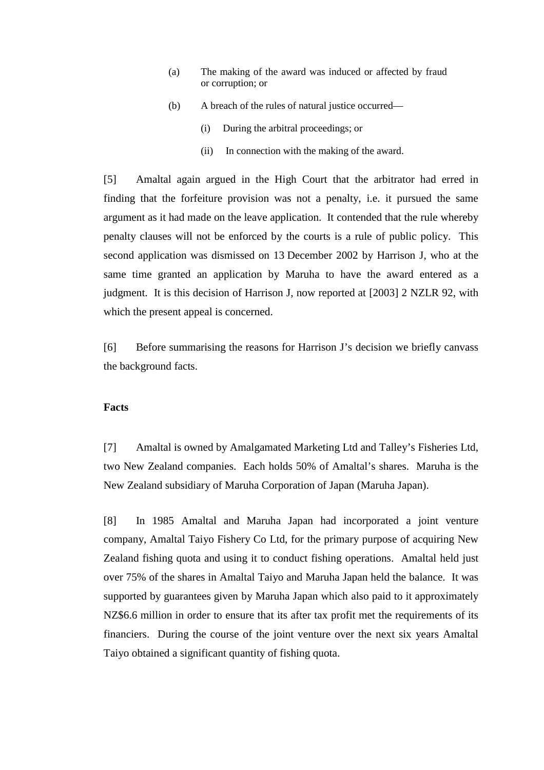- (a) The making of the award was induced or affected by fraud or corruption; or
- (b) A breach of the rules of natural justice occurred—
	- (i) During the arbitral proceedings; or
	- (ii) In connection with the making of the award.

[5] Amaltal again argued in the High Court that the arbitrator had erred in finding that the forfeiture provision was not a penalty, i.e. it pursued the same argument as it had made on the leave application. It contended that the rule whereby penalty clauses will not be enforced by the courts is a rule of public policy. This second application was dismissed on 13 December 2002 by Harrison J, who at the same time granted an application by Maruha to have the award entered as a judgment. It is this decision of Harrison J, now reported at [2003] 2 NZLR 92, with which the present appeal is concerned.

[6] Before summarising the reasons for Harrison J's decision we briefly canvass the background facts.

### **Facts**

[7] Amaltal is owned by Amalgamated Marketing Ltd and Talley's Fisheries Ltd, two New Zealand companies. Each holds 50% of Amaltal's shares. Maruha is the New Zealand subsidiary of Maruha Corporation of Japan (Maruha Japan).

[8] In 1985 Amaltal and Maruha Japan had incorporated a joint venture company, Amaltal Taiyo Fishery Co Ltd, for the primary purpose of acquiring New Zealand fishing quota and using it to conduct fishing operations. Amaltal held just over 75% of the shares in Amaltal Taiyo and Maruha Japan held the balance. It was supported by guarantees given by Maruha Japan which also paid to it approximately NZ\$6.6 million in order to ensure that its after tax profit met the requirements of its financiers. During the course of the joint venture over the next six years Amaltal Taiyo obtained a significant quantity of fishing quota.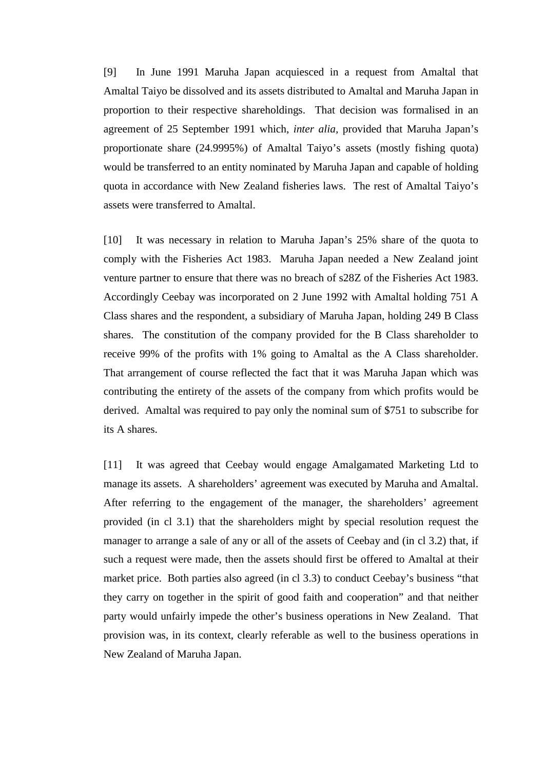[9] In June 1991 Maruha Japan acquiesced in a request from Amaltal that Amaltal Taiyo be dissolved and its assets distributed to Amaltal and Maruha Japan in proportion to their respective shareholdings. That decision was formalised in an agreement of 25 September 1991 which, *inter alia,* provided that Maruha Japan's proportionate share (24.9995%) of Amaltal Taiyo's assets (mostly fishing quota) would be transferred to an entity nominated by Maruha Japan and capable of holding quota in accordance with New Zealand fisheries laws. The rest of Amaltal Taiyo's assets were transferred to Amaltal.

[10] It was necessary in relation to Maruha Japan's 25% share of the quota to comply with the Fisheries Act 1983. Maruha Japan needed a New Zealand joint venture partner to ensure that there was no breach of s28Z of the Fisheries Act 1983. Accordingly Ceebay was incorporated on 2 June 1992 with Amaltal holding 751 A Class shares and the respondent, a subsidiary of Maruha Japan, holding 249 B Class shares. The constitution of the company provided for the B Class shareholder to receive 99% of the profits with 1% going to Amaltal as the A Class shareholder. That arrangement of course reflected the fact that it was Maruha Japan which was contributing the entirety of the assets of the company from which profits would be derived. Amaltal was required to pay only the nominal sum of \$751 to subscribe for its A shares.

[11] It was agreed that Ceebay would engage Amalgamated Marketing Ltd to manage its assets. A shareholders' agreement was executed by Maruha and Amaltal. After referring to the engagement of the manager, the shareholders' agreement provided (in cl 3.1) that the shareholders might by special resolution request the manager to arrange a sale of any or all of the assets of Ceebay and (in cl 3.2) that, if such a request were made, then the assets should first be offered to Amaltal at their market price. Both parties also agreed (in cl 3.3) to conduct Ceebay's business "that they carry on together in the spirit of good faith and cooperation" and that neither party would unfairly impede the other's business operations in New Zealand. That provision was, in its context, clearly referable as well to the business operations in New Zealand of Maruha Japan.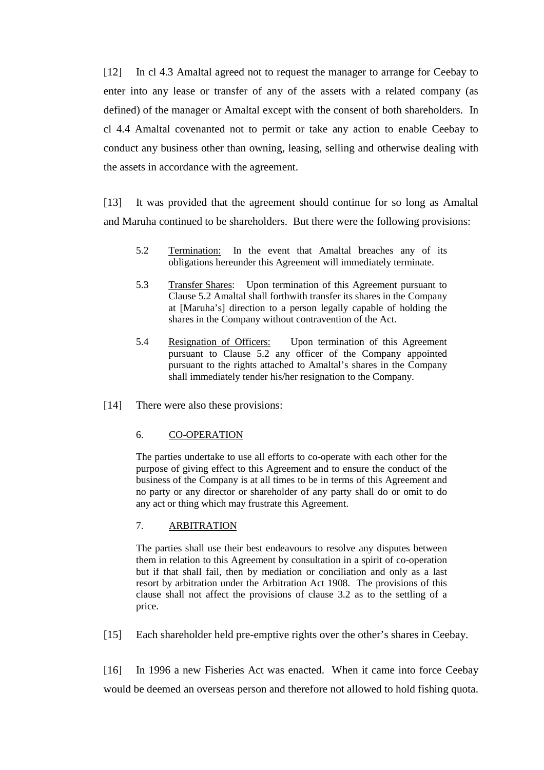[12] In cl 4.3 Amaltal agreed not to request the manager to arrange for Ceebay to enter into any lease or transfer of any of the assets with a related company (as defined) of the manager or Amaltal except with the consent of both shareholders. In cl 4.4 Amaltal covenanted not to permit or take any action to enable Ceebay to conduct any business other than owning, leasing, selling and otherwise dealing with the assets in accordance with the agreement.

[13] It was provided that the agreement should continue for so long as Amaltal and Maruha continued to be shareholders. But there were the following provisions:

- 5.2 Termination: In the event that Amaltal breaches any of its obligations hereunder this Agreement will immediately terminate.
- 5.3 Transfer Shares: Upon termination of this Agreement pursuant to Clause 5.2 Amaltal shall forthwith transfer its shares in the Company at [Maruha's] direction to a person legally capable of holding the shares in the Company without contravention of the Act.
- 5.4 Resignation of Officers: Upon termination of this Agreement pursuant to Clause 5.2 any officer of the Company appointed pursuant to the rights attached to Amaltal's shares in the Company shall immediately tender his/her resignation to the Company.
- [14] There were also these provisions:

### 6. CO-OPERATION

The parties undertake to use all efforts to co-operate with each other for the purpose of giving effect to this Agreement and to ensure the conduct of the business of the Company is at all times to be in terms of this Agreement and no party or any director or shareholder of any party shall do or omit to do any act or thing which may frustrate this Agreement.

## 7. ARBITRATION

The parties shall use their best endeavours to resolve any disputes between them in relation to this Agreement by consultation in a spirit of co-operation but if that shall fail, then by mediation or conciliation and only as a last resort by arbitration under the Arbitration Act 1908. The provisions of this clause shall not affect the provisions of clause 3.2 as to the settling of a price.

[15] Each shareholder held pre-emptive rights over the other's shares in Ceebay.

[16] In 1996 a new Fisheries Act was enacted. When it came into force Ceebay would be deemed an overseas person and therefore not allowed to hold fishing quota.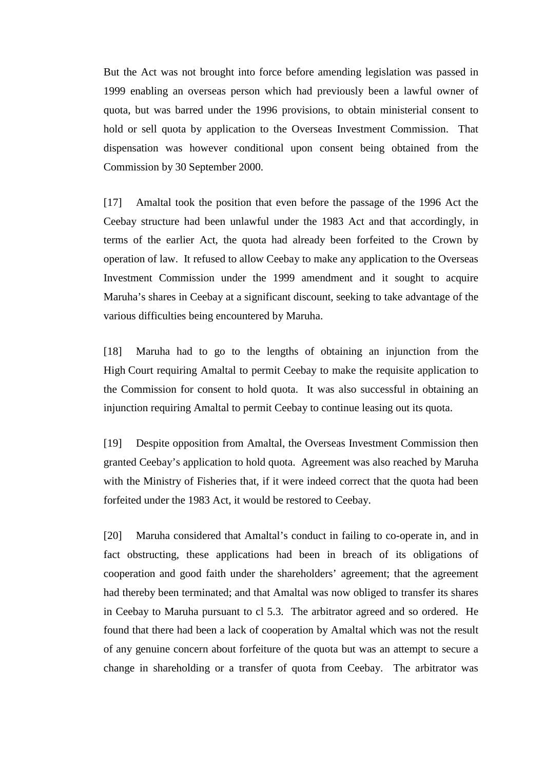But the Act was not brought into force before amending legislation was passed in 1999 enabling an overseas person which had previously been a lawful owner of quota, but was barred under the 1996 provisions, to obtain ministerial consent to hold or sell quota by application to the Overseas Investment Commission. That dispensation was however conditional upon consent being obtained from the Commission by 30 September 2000.

[17] Amaltal took the position that even before the passage of the 1996 Act the Ceebay structure had been unlawful under the 1983 Act and that accordingly, in terms of the earlier Act, the quota had already been forfeited to the Crown by operation of law. It refused to allow Ceebay to make any application to the Overseas Investment Commission under the 1999 amendment and it sought to acquire Maruha's shares in Ceebay at a significant discount, seeking to take advantage of the various difficulties being encountered by Maruha.

[18] Maruha had to go to the lengths of obtaining an injunction from the High Court requiring Amaltal to permit Ceebay to make the requisite application to the Commission for consent to hold quota. It was also successful in obtaining an injunction requiring Amaltal to permit Ceebay to continue leasing out its quota.

[19] Despite opposition from Amaltal, the Overseas Investment Commission then granted Ceebay's application to hold quota. Agreement was also reached by Maruha with the Ministry of Fisheries that, if it were indeed correct that the quota had been forfeited under the 1983 Act, it would be restored to Ceebay.

[20] Maruha considered that Amaltal's conduct in failing to co-operate in, and in fact obstructing, these applications had been in breach of its obligations of cooperation and good faith under the shareholders' agreement; that the agreement had thereby been terminated; and that Amaltal was now obliged to transfer its shares in Ceebay to Maruha pursuant to cl 5.3. The arbitrator agreed and so ordered. He found that there had been a lack of cooperation by Amaltal which was not the result of any genuine concern about forfeiture of the quota but was an attempt to secure a change in shareholding or a transfer of quota from Ceebay. The arbitrator was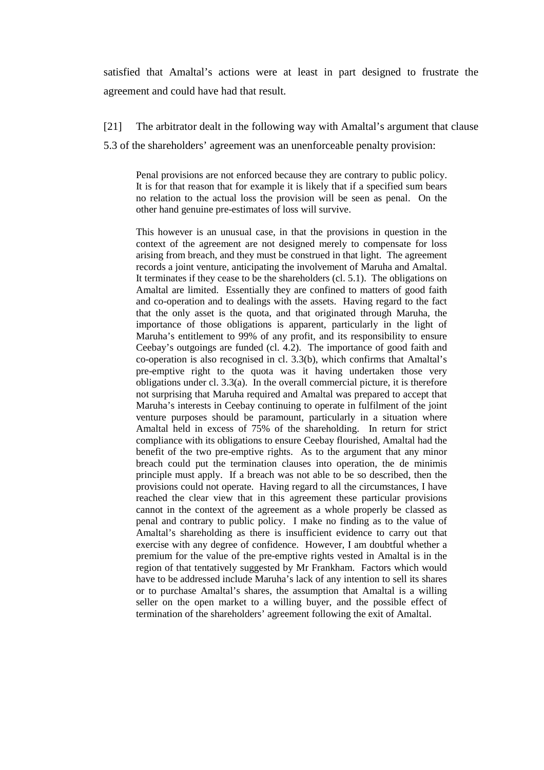satisfied that Amaltal's actions were at least in part designed to frustrate the agreement and could have had that result.

## [21] The arbitrator dealt in the following way with Amaltal's argument that clause

5.3 of the shareholders' agreement was an unenforceable penalty provision:

Penal provisions are not enforced because they are contrary to public policy. It is for that reason that for example it is likely that if a specified sum bears no relation to the actual loss the provision will be seen as penal. On the other hand genuine pre-estimates of loss will survive.

This however is an unusual case, in that the provisions in question in the context of the agreement are not designed merely to compensate for loss arising from breach, and they must be construed in that light. The agreement records a joint venture, anticipating the involvement of Maruha and Amaltal. It terminates if they cease to be the shareholders (cl. 5.1). The obligations on Amaltal are limited. Essentially they are confined to matters of good faith and co-operation and to dealings with the assets. Having regard to the fact that the only asset is the quota, and that originated through Maruha, the importance of those obligations is apparent, particularly in the light of Maruha's entitlement to 99% of any profit, and its responsibility to ensure Ceebay's outgoings are funded (cl. 4.2). The importance of good faith and co-operation is also recognised in cl. 3.3(b), which confirms that Amaltal's pre-emptive right to the quota was it having undertaken those very obligations under cl. 3.3(a). In the overall commercial picture, it is therefore not surprising that Maruha required and Amaltal was prepared to accept that Maruha's interests in Ceebay continuing to operate in fulfilment of the joint venture purposes should be paramount, particularly in a situation where Amaltal held in excess of 75% of the shareholding. In return for strict compliance with its obligations to ensure Ceebay flourished, Amaltal had the benefit of the two pre-emptive rights. As to the argument that any minor breach could put the termination clauses into operation, the de minimis principle must apply. If a breach was not able to be so described, then the provisions could not operate. Having regard to all the circumstances, I have reached the clear view that in this agreement these particular provisions cannot in the context of the agreement as a whole properly be classed as penal and contrary to public policy. I make no finding as to the value of Amaltal's shareholding as there is insufficient evidence to carry out that exercise with any degree of confidence. However, I am doubtful whether a premium for the value of the pre-emptive rights vested in Amaltal is in the region of that tentatively suggested by Mr Frankham. Factors which would have to be addressed include Maruha's lack of any intention to sell its shares or to purchase Amaltal's shares, the assumption that Amaltal is a willing seller on the open market to a willing buyer, and the possible effect of termination of the shareholders' agreement following the exit of Amaltal.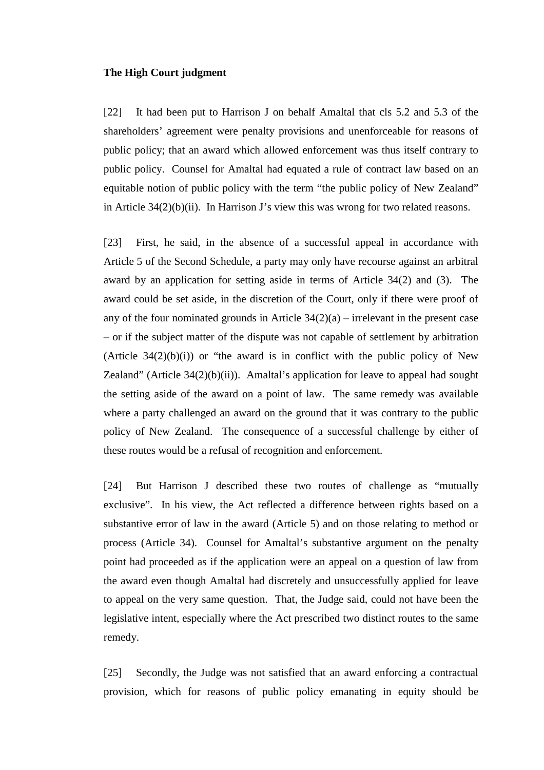#### **The High Court judgment**

[22] It had been put to Harrison J on behalf Amaltal that cls 5.2 and 5.3 of the shareholders' agreement were penalty provisions and unenforceable for reasons of public policy; that an award which allowed enforcement was thus itself contrary to public policy. Counsel for Amaltal had equated a rule of contract law based on an equitable notion of public policy with the term "the public policy of New Zealand" in Article 34(2)(b)(ii). In Harrison J's view this was wrong for two related reasons.

[23] First, he said, in the absence of a successful appeal in accordance with Article 5 of the Second Schedule, a party may only have recourse against an arbitral award by an application for setting aside in terms of Article 34(2) and (3). The award could be set aside, in the discretion of the Court, only if there were proof of any of the four nominated grounds in Article  $34(2)(a)$  – irrelevant in the present case – or if the subject matter of the dispute was not capable of settlement by arbitration (Article  $34(2)(b)(i)$ ) or "the award is in conflict with the public policy of New Zealand" (Article  $34(2)(b)(ii)$ ). Amaltal's application for leave to appeal had sought the setting aside of the award on a point of law. The same remedy was available where a party challenged an award on the ground that it was contrary to the public policy of New Zealand. The consequence of a successful challenge by either of these routes would be a refusal of recognition and enforcement.

[24] But Harrison J described these two routes of challenge as "mutually exclusive". In his view, the Act reflected a difference between rights based on a substantive error of law in the award (Article 5) and on those relating to method or process (Article 34). Counsel for Amaltal's substantive argument on the penalty point had proceeded as if the application were an appeal on a question of law from the award even though Amaltal had discretely and unsuccessfully applied for leave to appeal on the very same question. That, the Judge said, could not have been the legislative intent, especially where the Act prescribed two distinct routes to the same remedy.

[25] Secondly, the Judge was not satisfied that an award enforcing a contractual provision, which for reasons of public policy emanating in equity should be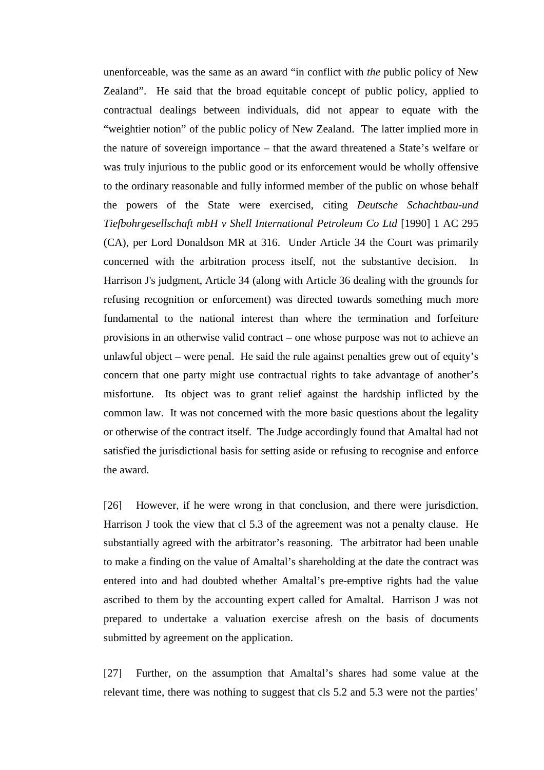unenforceable, was the same as an award "in conflict with *the* public policy of New Zealand". He said that the broad equitable concept of public policy, applied to contractual dealings between individuals, did not appear to equate with the "weightier notion" of the public policy of New Zealand. The latter implied more in the nature of sovereign importance – that the award threatened a State's welfare or was truly injurious to the public good or its enforcement would be wholly offensive to the ordinary reasonable and fully informed member of the public on whose behalf the powers of the State were exercised, citing *Deutsche Schachtbau-und Tiefbohrgesellschaft mbH v Shell International Petroleum Co Ltd* [1990] 1 AC 295 (CA), per Lord Donaldson MR at 316. Under Article 34 the Court was primarily concerned with the arbitration process itself, not the substantive decision. Harrison J's judgment, Article 34 (along with Article 36 dealing with the grounds for refusing recognition or enforcement) was directed towards something much more fundamental to the national interest than where the termination and forfeiture provisions in an otherwise valid contract – one whose purpose was not to achieve an unlawful object – were penal. He said the rule against penalties grew out of equity's concern that one party might use contractual rights to take advantage of another's misfortune. Its object was to grant relief against the hardship inflicted by the common law. It was not concerned with the more basic questions about the legality or otherwise of the contract itself. The Judge accordingly found that Amaltal had not satisfied the jurisdictional basis for setting aside or refusing to recognise and enforce the award.

[26] However, if he were wrong in that conclusion, and there were jurisdiction, Harrison J took the view that cl 5.3 of the agreement was not a penalty clause. He substantially agreed with the arbitrator's reasoning. The arbitrator had been unable to make a finding on the value of Amaltal's shareholding at the date the contract was entered into and had doubted whether Amaltal's pre-emptive rights had the value ascribed to them by the accounting expert called for Amaltal. Harrison J was not prepared to undertake a valuation exercise afresh on the basis of documents submitted by agreement on the application.

[27] Further, on the assumption that Amaltal's shares had some value at the relevant time, there was nothing to suggest that cls 5.2 and 5.3 were not the parties'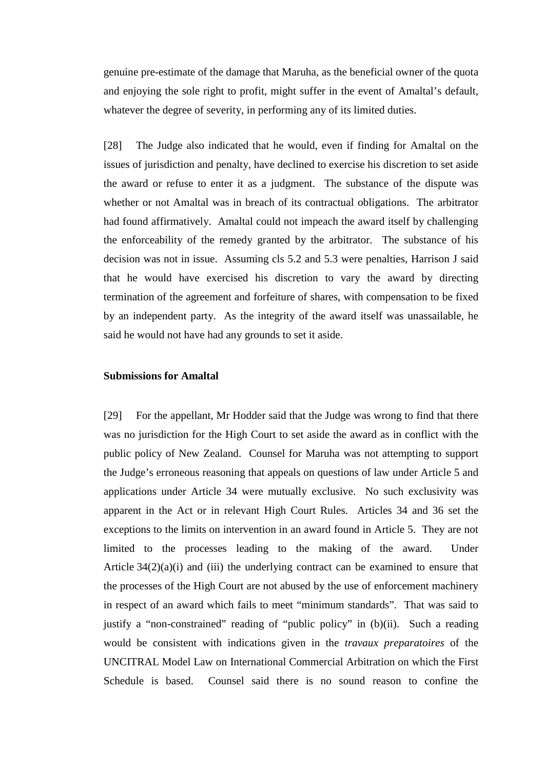genuine pre-estimate of the damage that Maruha, as the beneficial owner of the quota and enjoying the sole right to profit, might suffer in the event of Amaltal's default, whatever the degree of severity, in performing any of its limited duties.

[28] The Judge also indicated that he would, even if finding for Amaltal on the issues of jurisdiction and penalty, have declined to exercise his discretion to set aside the award or refuse to enter it as a judgment. The substance of the dispute was whether or not Amaltal was in breach of its contractual obligations. The arbitrator had found affirmatively. Amaltal could not impeach the award itself by challenging the enforceability of the remedy granted by the arbitrator. The substance of his decision was not in issue. Assuming cls 5.2 and 5.3 were penalties, Harrison J said that he would have exercised his discretion to vary the award by directing termination of the agreement and forfeiture of shares, with compensation to be fixed by an independent party. As the integrity of the award itself was unassailable, he said he would not have had any grounds to set it aside.

## **Submissions for Amaltal**

[29] For the appellant, Mr Hodder said that the Judge was wrong to find that there was no jurisdiction for the High Court to set aside the award as in conflict with the public policy of New Zealand. Counsel for Maruha was not attempting to support the Judge's erroneous reasoning that appeals on questions of law under Article 5 and applications under Article 34 were mutually exclusive. No such exclusivity was apparent in the Act or in relevant High Court Rules. Articles 34 and 36 set the exceptions to the limits on intervention in an award found in Article 5. They are not limited to the processes leading to the making of the award. Under Article  $34(2)(a)(i)$  and (iii) the underlying contract can be examined to ensure that the processes of the High Court are not abused by the use of enforcement machinery in respect of an award which fails to meet "minimum standards". That was said to justify a "non-constrained" reading of "public policy" in (b)(ii). Such a reading would be consistent with indications given in the *travaux preparatoires* of the UNCITRAL Model Law on International Commercial Arbitration on which the First Schedule is based. Counsel said there is no sound reason to confine the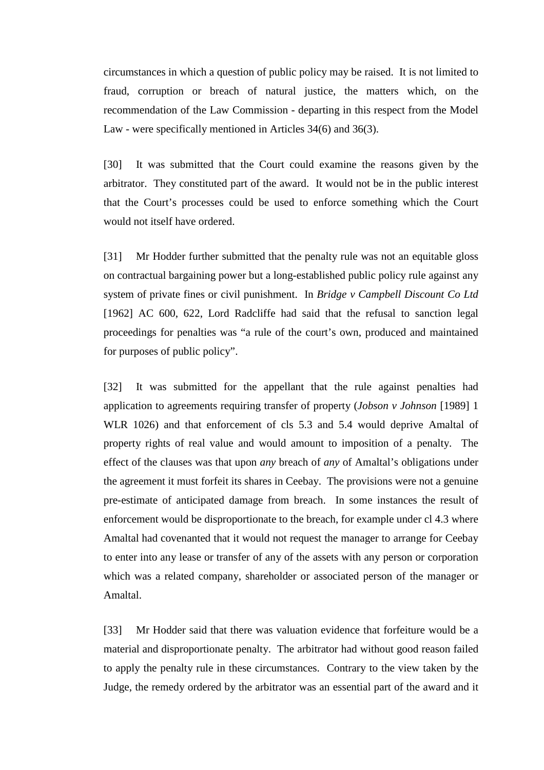circumstances in which a question of public policy may be raised. It is not limited to fraud, corruption or breach of natural justice, the matters which, on the recommendation of the Law Commission - departing in this respect from the Model Law - were specifically mentioned in Articles 34(6) and 36(3).

[30] It was submitted that the Court could examine the reasons given by the arbitrator. They constituted part of the award. It would not be in the public interest that the Court's processes could be used to enforce something which the Court would not itself have ordered.

[31] Mr Hodder further submitted that the penalty rule was not an equitable gloss on contractual bargaining power but a long-established public policy rule against any system of private fines or civil punishment. In *Bridge v Campbell Discount Co Ltd* [1962] AC 600, 622, Lord Radcliffe had said that the refusal to sanction legal proceedings for penalties was "a rule of the court's own, produced and maintained for purposes of public policy".

[32] It was submitted for the appellant that the rule against penalties had application to agreements requiring transfer of property (*Jobson v Johnson* [1989] 1 WLR 1026) and that enforcement of cls 5.3 and 5.4 would deprive Amaltal of property rights of real value and would amount to imposition of a penalty. The effect of the clauses was that upon *any* breach of *any* of Amaltal's obligations under the agreement it must forfeit its shares in Ceebay. The provisions were not a genuine pre-estimate of anticipated damage from breach. In some instances the result of enforcement would be disproportionate to the breach, for example under cl 4.3 where Amaltal had covenanted that it would not request the manager to arrange for Ceebay to enter into any lease or transfer of any of the assets with any person or corporation which was a related company, shareholder or associated person of the manager or Amaltal.

[33] Mr Hodder said that there was valuation evidence that forfeiture would be a material and disproportionate penalty. The arbitrator had without good reason failed to apply the penalty rule in these circumstances. Contrary to the view taken by the Judge, the remedy ordered by the arbitrator was an essential part of the award and it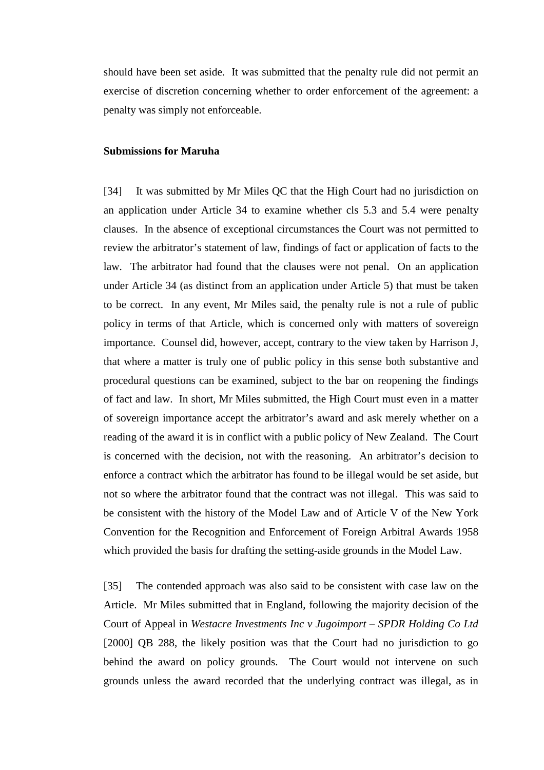should have been set aside. It was submitted that the penalty rule did not permit an exercise of discretion concerning whether to order enforcement of the agreement: a penalty was simply not enforceable.

#### **Submissions for Maruha**

[34] It was submitted by Mr Miles QC that the High Court had no jurisdiction on an application under Article 34 to examine whether cls 5.3 and 5.4 were penalty clauses. In the absence of exceptional circumstances the Court was not permitted to review the arbitrator's statement of law, findings of fact or application of facts to the law. The arbitrator had found that the clauses were not penal. On an application under Article 34 (as distinct from an application under Article 5) that must be taken to be correct. In any event, Mr Miles said, the penalty rule is not a rule of public policy in terms of that Article, which is concerned only with matters of sovereign importance. Counsel did, however, accept, contrary to the view taken by Harrison J, that where a matter is truly one of public policy in this sense both substantive and procedural questions can be examined, subject to the bar on reopening the findings of fact and law. In short, Mr Miles submitted, the High Court must even in a matter of sovereign importance accept the arbitrator's award and ask merely whether on a reading of the award it is in conflict with a public policy of New Zealand. The Court is concerned with the decision, not with the reasoning. An arbitrator's decision to enforce a contract which the arbitrator has found to be illegal would be set aside, but not so where the arbitrator found that the contract was not illegal. This was said to be consistent with the history of the Model Law and of Article V of the New York Convention for the Recognition and Enforcement of Foreign Arbitral Awards 1958 which provided the basis for drafting the setting-aside grounds in the Model Law.

[35] The contended approach was also said to be consistent with case law on the Article. Mr Miles submitted that in England, following the majority decision of the Court of Appeal in *Westacre Investments Inc v Jugoimport – SPDR Holding Co Ltd* [2000] QB 288, the likely position was that the Court had no jurisdiction to go behind the award on policy grounds. The Court would not intervene on such grounds unless the award recorded that the underlying contract was illegal, as in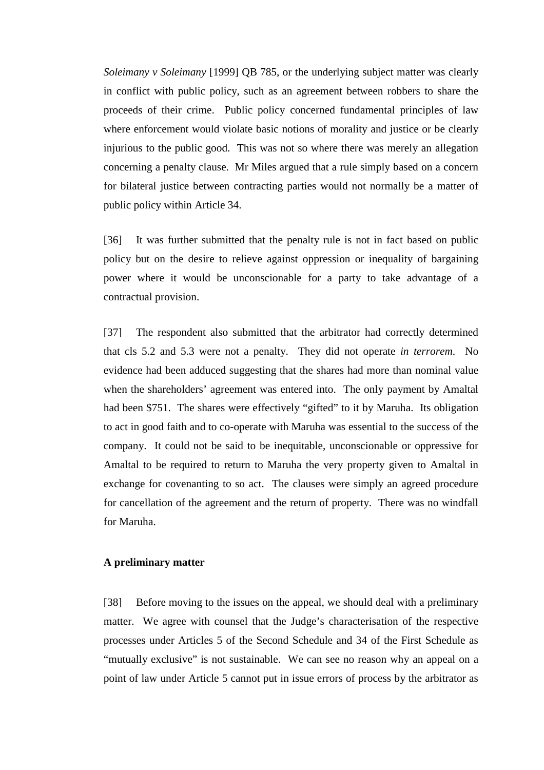*Soleimany v Soleimany* [1999] QB 785, or the underlying subject matter was clearly in conflict with public policy, such as an agreement between robbers to share the proceeds of their crime. Public policy concerned fundamental principles of law where enforcement would violate basic notions of morality and justice or be clearly injurious to the public good. This was not so where there was merely an allegation concerning a penalty clause. Mr Miles argued that a rule simply based on a concern for bilateral justice between contracting parties would not normally be a matter of public policy within Article 34.

[36] It was further submitted that the penalty rule is not in fact based on public policy but on the desire to relieve against oppression or inequality of bargaining power where it would be unconscionable for a party to take advantage of a contractual provision.

[37] The respondent also submitted that the arbitrator had correctly determined that cls 5.2 and 5.3 were not a penalty. They did not operate *in terrorem*. No evidence had been adduced suggesting that the shares had more than nominal value when the shareholders' agreement was entered into. The only payment by Amaltal had been \$751. The shares were effectively "gifted" to it by Maruha. Its obligation to act in good faith and to co-operate with Maruha was essential to the success of the company. It could not be said to be inequitable, unconscionable or oppressive for Amaltal to be required to return to Maruha the very property given to Amaltal in exchange for covenanting to so act. The clauses were simply an agreed procedure for cancellation of the agreement and the return of property. There was no windfall for Maruha.

## **A preliminary matter**

[38] Before moving to the issues on the appeal, we should deal with a preliminary matter. We agree with counsel that the Judge's characterisation of the respective processes under Articles 5 of the Second Schedule and 34 of the First Schedule as "mutually exclusive" is not sustainable. We can see no reason why an appeal on a point of law under Article 5 cannot put in issue errors of process by the arbitrator as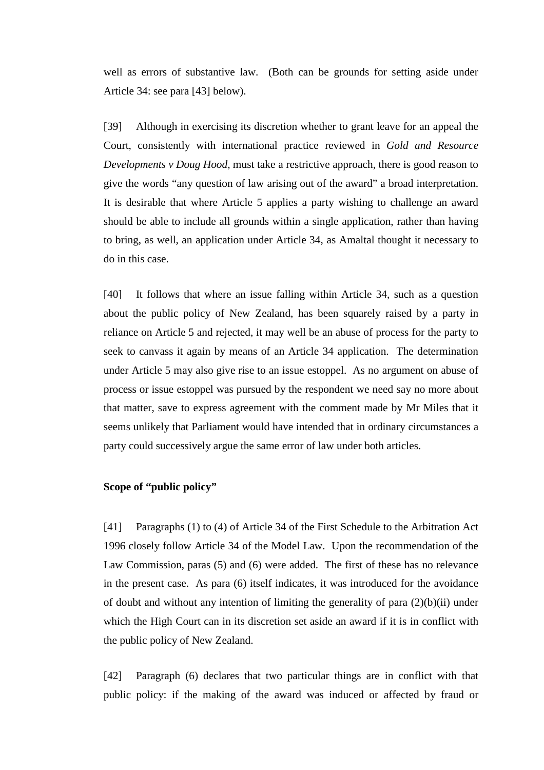well as errors of substantive law. (Both can be grounds for setting aside under Article 34: see para [43] below).

[39] Although in exercising its discretion whether to grant leave for an appeal the Court, consistently with international practice reviewed in *Gold and Resource Developments v Doug Hood*, must take a restrictive approach, there is good reason to give the words "any question of law arising out of the award" a broad interpretation. It is desirable that where Article 5 applies a party wishing to challenge an award should be able to include all grounds within a single application, rather than having to bring, as well, an application under Article 34, as Amaltal thought it necessary to do in this case.

[40] It follows that where an issue falling within Article 34, such as a question about the public policy of New Zealand, has been squarely raised by a party in reliance on Article 5 and rejected, it may well be an abuse of process for the party to seek to canvass it again by means of an Article 34 application. The determination under Article 5 may also give rise to an issue estoppel. As no argument on abuse of process or issue estoppel was pursued by the respondent we need say no more about that matter, save to express agreement with the comment made by Mr Miles that it seems unlikely that Parliament would have intended that in ordinary circumstances a party could successively argue the same error of law under both articles.

# **Scope of "public policy"**

[41] Paragraphs (1) to (4) of Article 34 of the First Schedule to the Arbitration Act 1996 closely follow Article 34 of the Model Law. Upon the recommendation of the Law Commission, paras (5) and (6) were added. The first of these has no relevance in the present case. As para (6) itself indicates, it was introduced for the avoidance of doubt and without any intention of limiting the generality of para  $(2)(b)(ii)$  under which the High Court can in its discretion set aside an award if it is in conflict with the public policy of New Zealand.

[42] Paragraph (6) declares that two particular things are in conflict with that public policy: if the making of the award was induced or affected by fraud or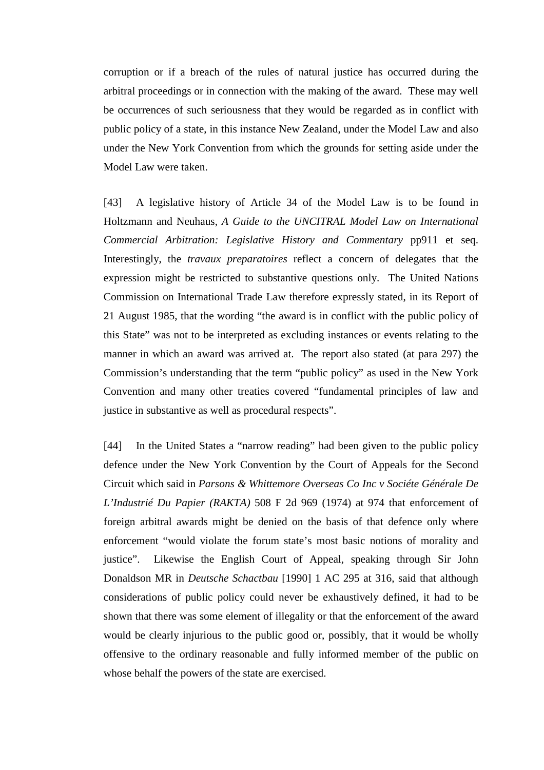corruption or if a breach of the rules of natural justice has occurred during the arbitral proceedings or in connection with the making of the award. These may well be occurrences of such seriousness that they would be regarded as in conflict with public policy of a state, in this instance New Zealand, under the Model Law and also under the New York Convention from which the grounds for setting aside under the Model Law were taken.

[43] A legislative history of Article 34 of the Model Law is to be found in Holtzmann and Neuhaus, *A Guide to the UNCITRAL Model Law on International Commercial Arbitration: Legislative History and Commentary* pp911 et seq. Interestingly, the *travaux preparatoires* reflect a concern of delegates that the expression might be restricted to substantive questions only. The United Nations Commission on International Trade Law therefore expressly stated, in its Report of 21 August 1985, that the wording "the award is in conflict with the public policy of this State" was not to be interpreted as excluding instances or events relating to the manner in which an award was arrived at. The report also stated (at para 297) the Commission's understanding that the term "public policy" as used in the New York Convention and many other treaties covered "fundamental principles of law and justice in substantive as well as procedural respects".

[44] In the United States a "narrow reading" had been given to the public policy defence under the New York Convention by the Court of Appeals for the Second Circuit which said in *Parsons & Whittemore Overseas Co Inc v Sociéte Générale De L'Industrié Du Papier (RAKTA)* 508 F 2d 969 (1974) at 974 that enforcement of foreign arbitral awards might be denied on the basis of that defence only where enforcement "would violate the forum state's most basic notions of morality and justice". Likewise the English Court of Appeal, speaking through Sir John Donaldson MR in *Deutsche Schactbau* [1990] 1 AC 295 at 316, said that although considerations of public policy could never be exhaustively defined, it had to be shown that there was some element of illegality or that the enforcement of the award would be clearly injurious to the public good or, possibly, that it would be wholly offensive to the ordinary reasonable and fully informed member of the public on whose behalf the powers of the state are exercised.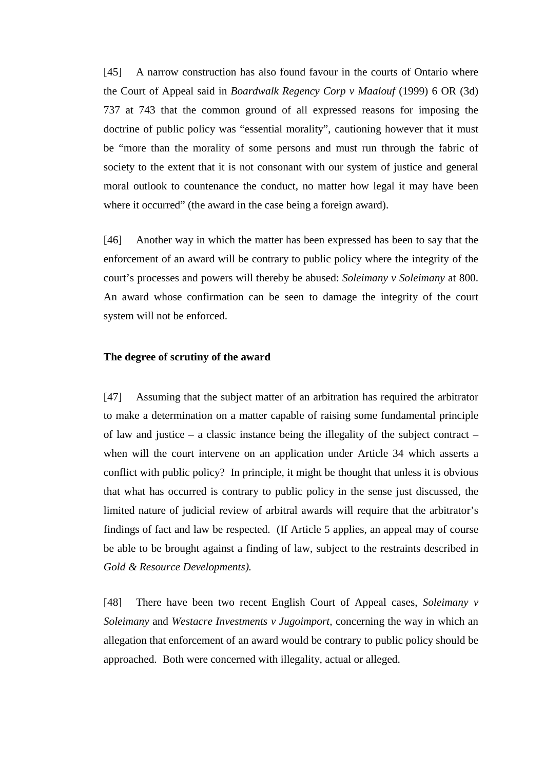[45] A narrow construction has also found favour in the courts of Ontario where the Court of Appeal said in *Boardwalk Regency Corp v Maalouf* (1999) 6 OR (3d) 737 at 743 that the common ground of all expressed reasons for imposing the doctrine of public policy was "essential morality", cautioning however that it must be "more than the morality of some persons and must run through the fabric of society to the extent that it is not consonant with our system of justice and general moral outlook to countenance the conduct, no matter how legal it may have been where it occurred" (the award in the case being a foreign award).

[46] Another way in which the matter has been expressed has been to say that the enforcement of an award will be contrary to public policy where the integrity of the court's processes and powers will thereby be abused: *Soleimany v Soleimany* at 800. An award whose confirmation can be seen to damage the integrity of the court system will not be enforced.

### **The degree of scrutiny of the award**

[47] Assuming that the subject matter of an arbitration has required the arbitrator to make a determination on a matter capable of raising some fundamental principle of law and justice – a classic instance being the illegality of the subject contract – when will the court intervene on an application under Article 34 which asserts a conflict with public policy? In principle, it might be thought that unless it is obvious that what has occurred is contrary to public policy in the sense just discussed, the limited nature of judicial review of arbitral awards will require that the arbitrator's findings of fact and law be respected. (If Article 5 applies, an appeal may of course be able to be brought against a finding of law, subject to the restraints described in *Gold & Resource Developments).*

[48] There have been two recent English Court of Appeal cases, *Soleimany v Soleimany* and *Westacre Investments v Jugoimport,* concerning the way in which an allegation that enforcement of an award would be contrary to public policy should be approached. Both were concerned with illegality, actual or alleged.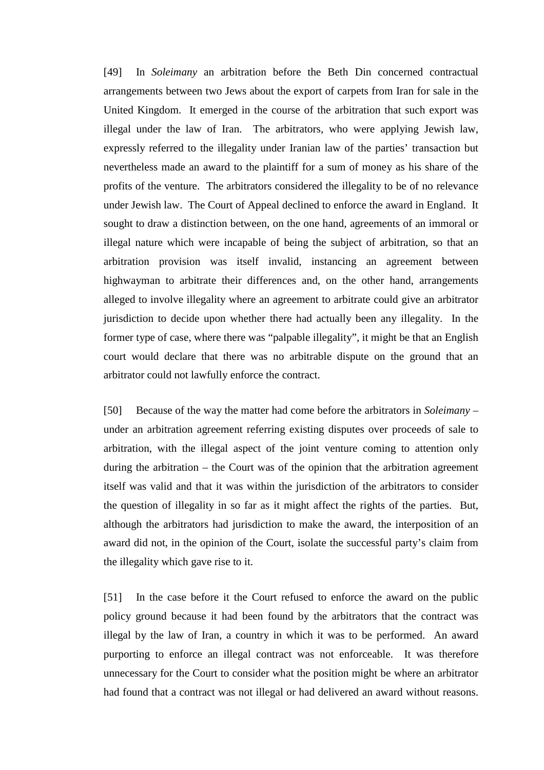[49] In *Soleimany* an arbitration before the Beth Din concerned contractual arrangements between two Jews about the export of carpets from Iran for sale in the United Kingdom. It emerged in the course of the arbitration that such export was illegal under the law of Iran. The arbitrators, who were applying Jewish law, expressly referred to the illegality under Iranian law of the parties' transaction but nevertheless made an award to the plaintiff for a sum of money as his share of the profits of the venture. The arbitrators considered the illegality to be of no relevance under Jewish law. The Court of Appeal declined to enforce the award in England. It sought to draw a distinction between, on the one hand, agreements of an immoral or illegal nature which were incapable of being the subject of arbitration, so that an arbitration provision was itself invalid, instancing an agreement between highwayman to arbitrate their differences and, on the other hand, arrangements alleged to involve illegality where an agreement to arbitrate could give an arbitrator jurisdiction to decide upon whether there had actually been any illegality. In the former type of case, where there was "palpable illegality", it might be that an English court would declare that there was no arbitrable dispute on the ground that an arbitrator could not lawfully enforce the contract.

[50] Because of the way the matter had come before the arbitrators in *Soleimany* – under an arbitration agreement referring existing disputes over proceeds of sale to arbitration, with the illegal aspect of the joint venture coming to attention only during the arbitration – the Court was of the opinion that the arbitration agreement itself was valid and that it was within the jurisdiction of the arbitrators to consider the question of illegality in so far as it might affect the rights of the parties. But, although the arbitrators had jurisdiction to make the award, the interposition of an award did not, in the opinion of the Court, isolate the successful party's claim from the illegality which gave rise to it.

[51] In the case before it the Court refused to enforce the award on the public policy ground because it had been found by the arbitrators that the contract was illegal by the law of Iran, a country in which it was to be performed. An award purporting to enforce an illegal contract was not enforceable. It was therefore unnecessary for the Court to consider what the position might be where an arbitrator had found that a contract was not illegal or had delivered an award without reasons.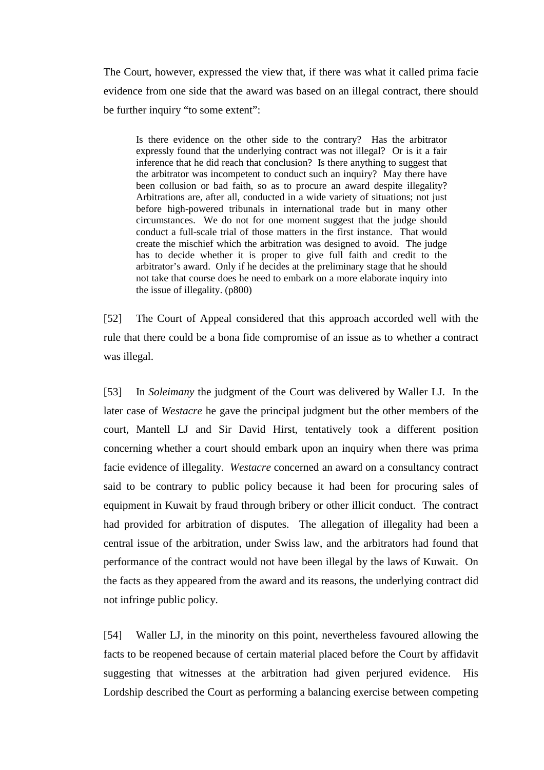The Court, however, expressed the view that, if there was what it called prima facie evidence from one side that the award was based on an illegal contract, there should be further inquiry "to some extent":

Is there evidence on the other side to the contrary? Has the arbitrator expressly found that the underlying contract was not illegal? Or is it a fair inference that he did reach that conclusion? Is there anything to suggest that the arbitrator was incompetent to conduct such an inquiry? May there have been collusion or bad faith, so as to procure an award despite illegality? Arbitrations are, after all, conducted in a wide variety of situations; not just before high-powered tribunals in international trade but in many other circumstances. We do not for one moment suggest that the judge should conduct a full-scale trial of those matters in the first instance. That would create the mischief which the arbitration was designed to avoid. The judge has to decide whether it is proper to give full faith and credit to the arbitrator's award. Only if he decides at the preliminary stage that he should not take that course does he need to embark on a more elaborate inquiry into the issue of illegality. (p800)

[52] The Court of Appeal considered that this approach accorded well with the rule that there could be a bona fide compromise of an issue as to whether a contract was illegal.

[53] In *Soleimany* the judgment of the Court was delivered by Waller LJ. In the later case of *Westacre* he gave the principal judgment but the other members of the court, Mantell LJ and Sir David Hirst, tentatively took a different position concerning whether a court should embark upon an inquiry when there was prima facie evidence of illegality. *Westacre* concerned an award on a consultancy contract said to be contrary to public policy because it had been for procuring sales of equipment in Kuwait by fraud through bribery or other illicit conduct. The contract had provided for arbitration of disputes. The allegation of illegality had been a central issue of the arbitration, under Swiss law, and the arbitrators had found that performance of the contract would not have been illegal by the laws of Kuwait. On the facts as they appeared from the award and its reasons, the underlying contract did not infringe public policy.

[54] Waller LJ, in the minority on this point, nevertheless favoured allowing the facts to be reopened because of certain material placed before the Court by affidavit suggesting that witnesses at the arbitration had given perjured evidence. His Lordship described the Court as performing a balancing exercise between competing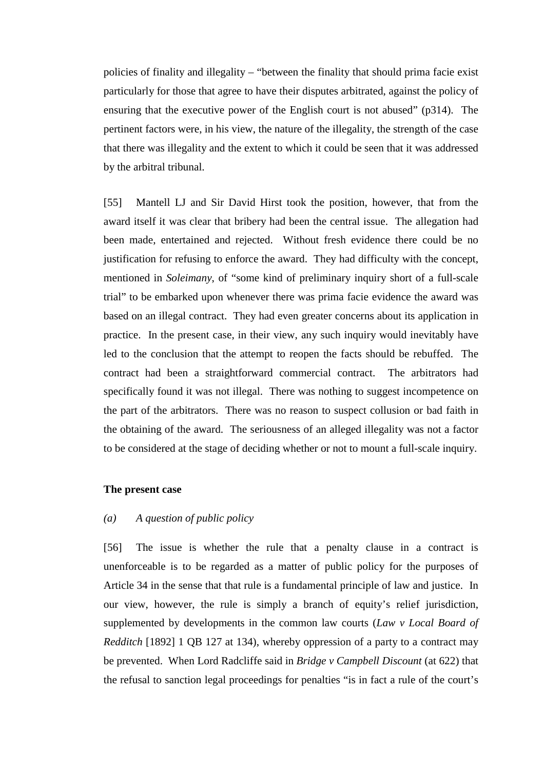policies of finality and illegality – "between the finality that should prima facie exist particularly for those that agree to have their disputes arbitrated, against the policy of ensuring that the executive power of the English court is not abused" (p314). The pertinent factors were, in his view, the nature of the illegality, the strength of the case that there was illegality and the extent to which it could be seen that it was addressed by the arbitral tribunal.

[55] Mantell LJ and Sir David Hirst took the position, however, that from the award itself it was clear that bribery had been the central issue. The allegation had been made, entertained and rejected. Without fresh evidence there could be no justification for refusing to enforce the award. They had difficulty with the concept, mentioned in *Soleimany*, of "some kind of preliminary inquiry short of a full-scale trial" to be embarked upon whenever there was prima facie evidence the award was based on an illegal contract. They had even greater concerns about its application in practice. In the present case, in their view, any such inquiry would inevitably have led to the conclusion that the attempt to reopen the facts should be rebuffed. The contract had been a straightforward commercial contract. The arbitrators had specifically found it was not illegal. There was nothing to suggest incompetence on the part of the arbitrators. There was no reason to suspect collusion or bad faith in the obtaining of the award. The seriousness of an alleged illegality was not a factor to be considered at the stage of deciding whether or not to mount a full-scale inquiry.

#### **The present case**

## *(a) A question of public policy*

[56] The issue is whether the rule that a penalty clause in a contract is unenforceable is to be regarded as a matter of public policy for the purposes of Article 34 in the sense that that rule is a fundamental principle of law and justice. In our view, however, the rule is simply a branch of equity's relief jurisdiction, supplemented by developments in the common law courts (*Law v Local Board of Redditch* [1892] 1 QB 127 at 134), whereby oppression of a party to a contract may be prevented. When Lord Radcliffe said in *Bridge v Campbell Discount* (at 622) that the refusal to sanction legal proceedings for penalties "is in fact a rule of the court's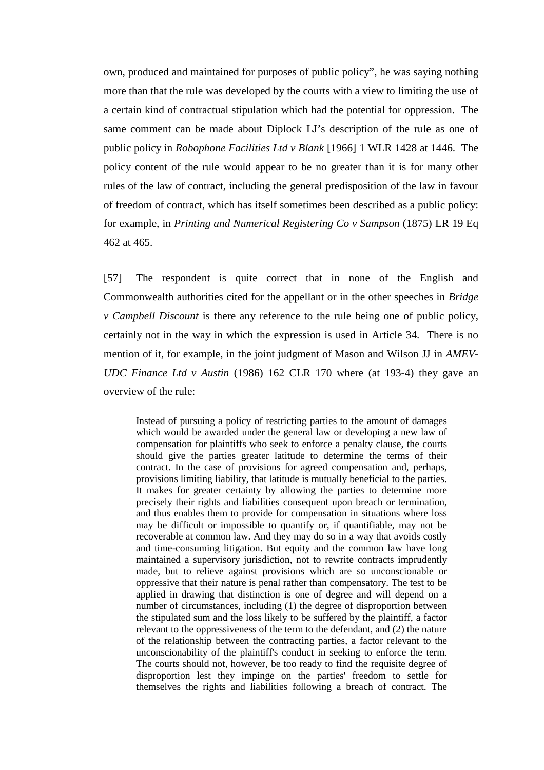own, produced and maintained for purposes of public policy", he was saying nothing more than that the rule was developed by the courts with a view to limiting the use of a certain kind of contractual stipulation which had the potential for oppression. The same comment can be made about Diplock LJ's description of the rule as one of public policy in *Robophone Facilities Ltd v Blank* [1966] 1 WLR 1428 at 1446. The policy content of the rule would appear to be no greater than it is for many other rules of the law of contract, including the general predisposition of the law in favour of freedom of contract, which has itself sometimes been described as a public policy: for example, in *Printing and Numerical Registering Co v Sampson* (1875) LR 19 Eq 462 at 465.

[57] The respondent is quite correct that in none of the English and Commonwealth authorities cited for the appellant or in the other speeches in *Bridge v Campbell Discount* is there any reference to the rule being one of public policy, certainly not in the way in which the expression is used in Article 34. There is no mention of it, for example, in the joint judgment of Mason and Wilson JJ in *AMEV-UDC Finance Ltd v Austin* (1986) 162 CLR 170 where (at 193-4) they gave an overview of the rule:

Instead of pursuing a policy of restricting parties to the amount of damages which would be awarded under the general law or developing a new law of compensation for plaintiffs who seek to enforce a penalty clause, the courts should give the parties greater latitude to determine the terms of their contract. In the case of provisions for agreed compensation and, perhaps, provisions limiting liability, that latitude is mutually beneficial to the parties. It makes for greater certainty by allowing the parties to determine more precisely their rights and liabilities consequent upon breach or termination, and thus enables them to provide for compensation in situations where loss may be difficult or impossible to quantify or, if quantifiable, may not be recoverable at common law. And they may do so in a way that avoids costly and time-consuming litigation. But equity and the common law have long maintained a supervisory jurisdiction, not to rewrite contracts imprudently made, but to relieve against provisions which are so unconscionable or oppressive that their nature is penal rather than compensatory. The test to be applied in drawing that distinction is one of degree and will depend on a number of circumstances, including (1) the degree of disproportion between the stipulated sum and the loss likely to be suffered by the plaintiff, a factor relevant to the oppressiveness of the term to the defendant, and (2) the nature of the relationship between the contracting parties, a factor relevant to the unconscionability of the plaintiff's conduct in seeking to enforce the term. The courts should not, however, be too ready to find the requisite degree of disproportion lest they impinge on the parties' freedom to settle for themselves the rights and liabilities following a breach of contract. The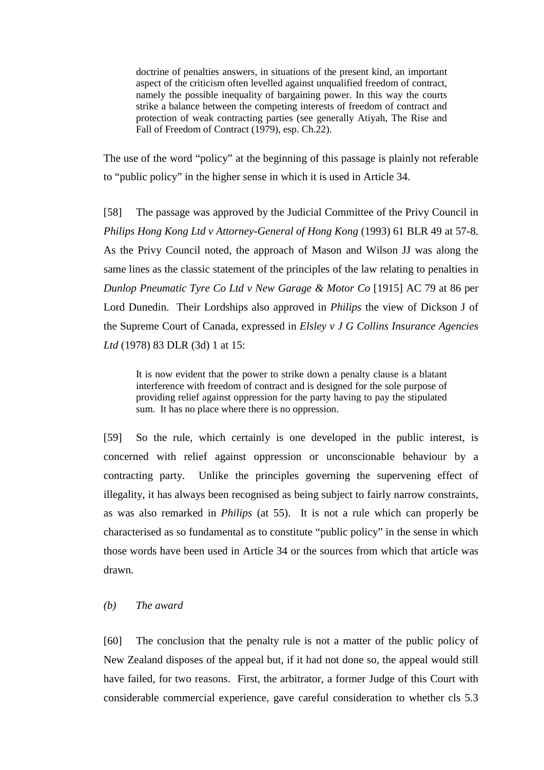doctrine of penalties answers, in situations of the present kind, an important aspect of the criticism often levelled against unqualified freedom of contract, namely the possible inequality of bargaining power. In this way the courts strike a balance between the competing interests of freedom of contract and protection of weak contracting parties (see generally Atiyah, The Rise and Fall of Freedom of Contract (1979), esp. Ch.22).

The use of the word "policy" at the beginning of this passage is plainly not referable to "public policy" in the higher sense in which it is used in Article 34.

[58] The passage was approved by the Judicial Committee of the Privy Council in *Philips Hong Kong Ltd v Attorney-General of Hong Kong* (1993) 61 BLR 49 at 57-8. As the Privy Council noted, the approach of Mason and Wilson JJ was along the same lines as the classic statement of the principles of the law relating to penalties in *Dunlop Pneumatic Tyre Co Ltd v New Garage & Motor Co* [1915] AC 79 at 86 per Lord Dunedin. Their Lordships also approved in *Philips* the view of Dickson J of the Supreme Court of Canada, expressed in *Elsley v J G Collins Insurance Agencies Ltd* (1978) 83 DLR (3d) 1 at 15:

It is now evident that the power to strike down a penalty clause is a blatant interference with freedom of contract and is designed for the sole purpose of providing relief against oppression for the party having to pay the stipulated sum. It has no place where there is no oppression.

[59] So the rule, which certainly is one developed in the public interest, is concerned with relief against oppression or unconscionable behaviour by a contracting party. Unlike the principles governing the supervening effect of illegality, it has always been recognised as being subject to fairly narrow constraints, as was also remarked in *Philips* (at 55). It is not a rule which can properly be characterised as so fundamental as to constitute "public policy" in the sense in which those words have been used in Article 34 or the sources from which that article was drawn.

# *(b) The award*

[60] The conclusion that the penalty rule is not a matter of the public policy of New Zealand disposes of the appeal but, if it had not done so, the appeal would still have failed, for two reasons. First, the arbitrator, a former Judge of this Court with considerable commercial experience, gave careful consideration to whether cls 5.3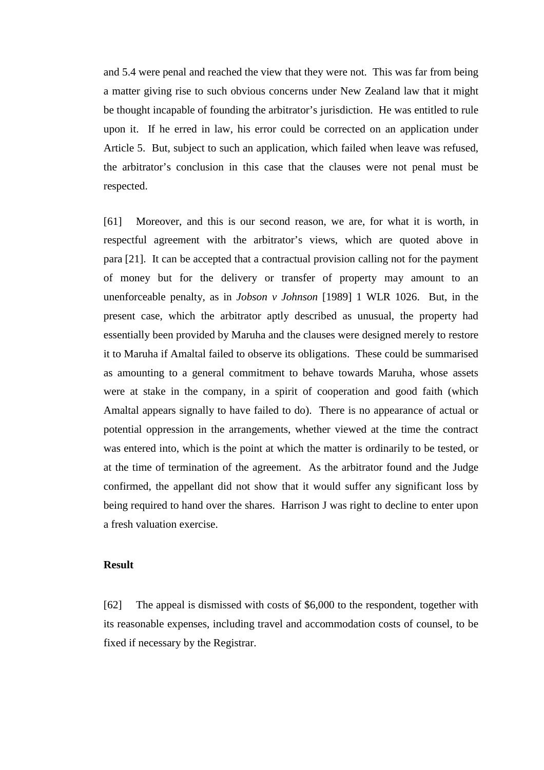and 5.4 were penal and reached the view that they were not. This was far from being a matter giving rise to such obvious concerns under New Zealand law that it might be thought incapable of founding the arbitrator's jurisdiction. He was entitled to rule upon it. If he erred in law, his error could be corrected on an application under Article 5. But, subject to such an application, which failed when leave was refused, the arbitrator's conclusion in this case that the clauses were not penal must be respected.

[61] Moreover, and this is our second reason, we are, for what it is worth, in respectful agreement with the arbitrator's views, which are quoted above in para [21]. It can be accepted that a contractual provision calling not for the payment of money but for the delivery or transfer of property may amount to an unenforceable penalty, as in *Jobson v Johnson* [1989] 1 WLR 1026. But, in the present case, which the arbitrator aptly described as unusual, the property had essentially been provided by Maruha and the clauses were designed merely to restore it to Maruha if Amaltal failed to observe its obligations. These could be summarised as amounting to a general commitment to behave towards Maruha, whose assets were at stake in the company, in a spirit of cooperation and good faith (which Amaltal appears signally to have failed to do). There is no appearance of actual or potential oppression in the arrangements, whether viewed at the time the contract was entered into, which is the point at which the matter is ordinarily to be tested, or at the time of termination of the agreement. As the arbitrator found and the Judge confirmed, the appellant did not show that it would suffer any significant loss by being required to hand over the shares. Harrison J was right to decline to enter upon a fresh valuation exercise.

#### **Result**

[62] The appeal is dismissed with costs of \$6,000 to the respondent, together with its reasonable expenses, including travel and accommodation costs of counsel, to be fixed if necessary by the Registrar.